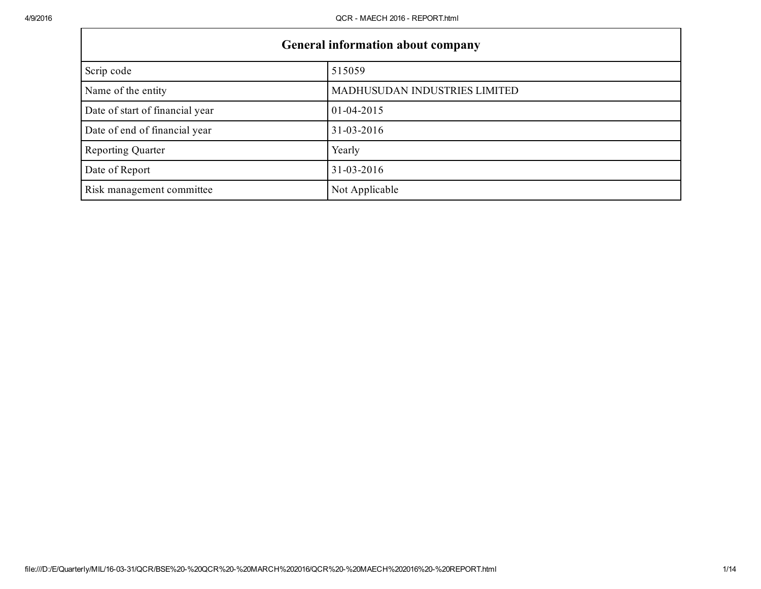| <b>General information about company</b> |                               |  |
|------------------------------------------|-------------------------------|--|
| Scrip code                               | 515059                        |  |
| Name of the entity                       | MADHUSUDAN INDUSTRIES LIMITED |  |
| Date of start of financial year          | $01 - 04 - 2015$              |  |
| Date of end of financial year            | $31 - 03 - 2016$              |  |
| <b>Reporting Quarter</b>                 | Yearly                        |  |
| Date of Report                           | $31 - 03 - 2016$              |  |
| Risk management committee                | Not Applicable                |  |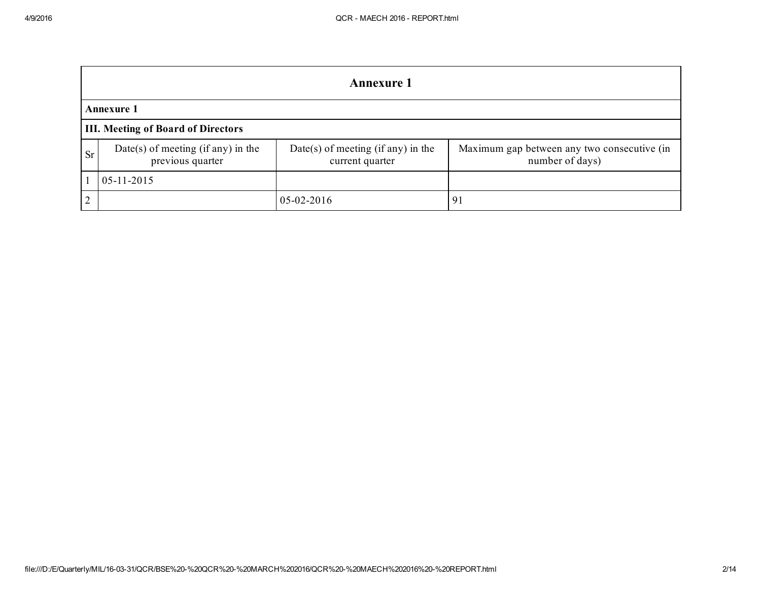|           | <b>Annexure 1</b>                                      |                                                       |                                                                |  |
|-----------|--------------------------------------------------------|-------------------------------------------------------|----------------------------------------------------------------|--|
|           | <b>Annexure 1</b>                                      |                                                       |                                                                |  |
|           | <b>III. Meeting of Board of Directors</b>              |                                                       |                                                                |  |
| <b>Sr</b> | Date(s) of meeting (if any) in the<br>previous quarter | Date(s) of meeting (if any) in the<br>current quarter | Maximum gap between any two consecutive (in<br>number of days) |  |
|           | $05-11-2015$                                           |                                                       |                                                                |  |
| $\bigcap$ |                                                        | $05-02-2016$                                          | 91                                                             |  |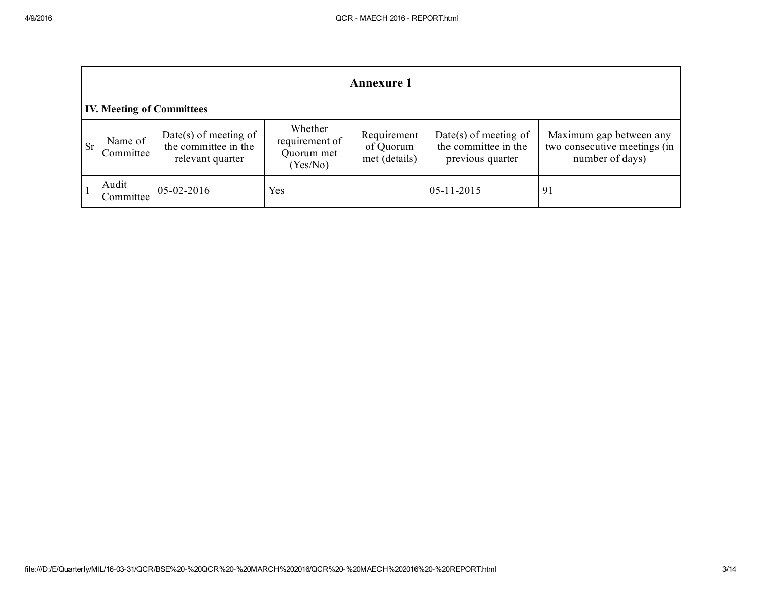|           | <b>Annexure 1</b>                |                                                                     |                                                     |                                           |                                                                   |                                                                            |
|-----------|----------------------------------|---------------------------------------------------------------------|-----------------------------------------------------|-------------------------------------------|-------------------------------------------------------------------|----------------------------------------------------------------------------|
|           | <b>IV. Meeting of Committees</b> |                                                                     |                                                     |                                           |                                                                   |                                                                            |
| <b>Sr</b> | Name of<br>Committee             | $Date(s)$ of meeting of<br>the committee in the<br>relevant quarter | Whether<br>requirement of<br>Quorum met<br>(Yes/No) | Requirement<br>of Quorum<br>met (details) | Date(s) of meeting of<br>the committee in the<br>previous quarter | Maximum gap between any<br>two consecutive meetings (in<br>number of days) |
|           | Audit<br>Committee               | $05 - 02 - 2016$                                                    | Yes                                                 |                                           | $05 - 11 - 2015$                                                  | 91                                                                         |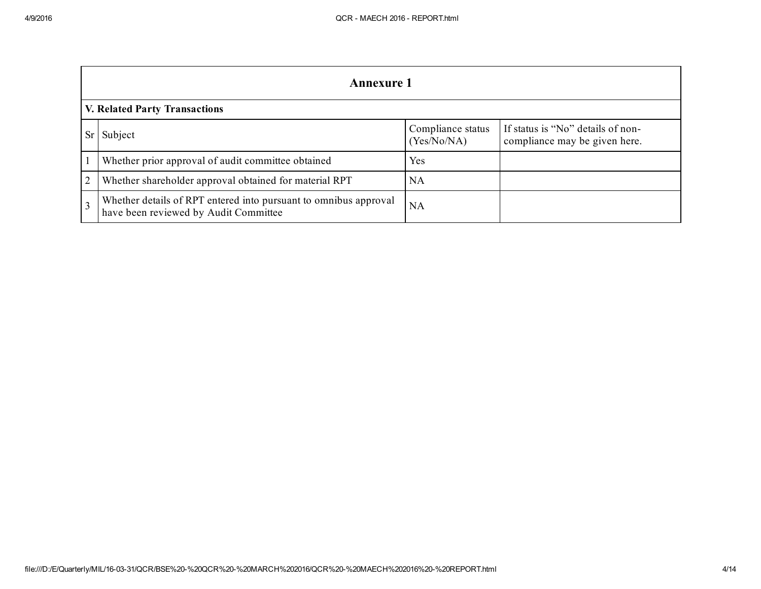| <b>Annexure 1</b>                                                                                         |                                  |                                                                    |  |
|-----------------------------------------------------------------------------------------------------------|----------------------------------|--------------------------------------------------------------------|--|
| <b>V. Related Party Transactions</b>                                                                      |                                  |                                                                    |  |
| Subject                                                                                                   | Compliance status<br>(Yes/No/NA) | If status is "No" details of non-<br>compliance may be given here. |  |
| Whether prior approval of audit committee obtained                                                        | Yes                              |                                                                    |  |
| Whether shareholder approval obtained for material RPT                                                    | NA                               |                                                                    |  |
| Whether details of RPT entered into pursuant to omnibus approval<br>have been reviewed by Audit Committee | NA                               |                                                                    |  |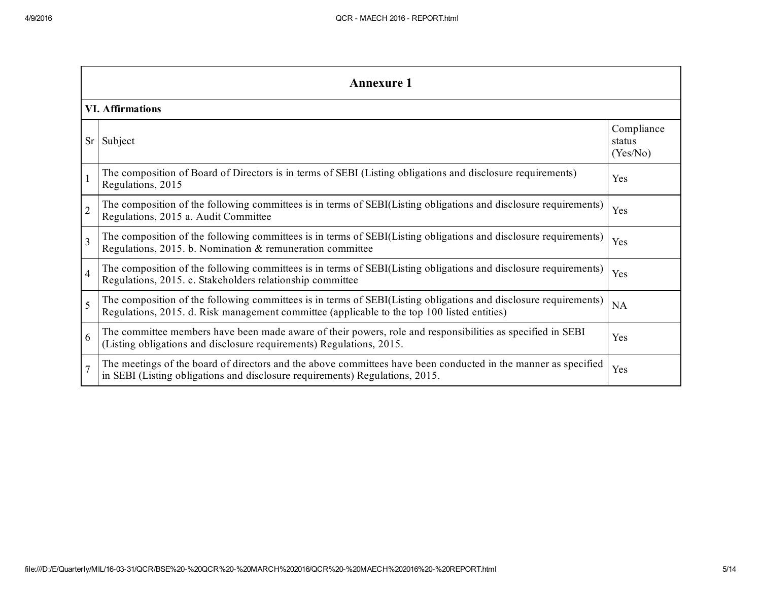|                | <b>Annexure 1</b>                                                                                                                                                                                               |                                  |  |  |
|----------------|-----------------------------------------------------------------------------------------------------------------------------------------------------------------------------------------------------------------|----------------------------------|--|--|
|                | <b>VI. Affirmations</b>                                                                                                                                                                                         |                                  |  |  |
| Sr             | Subject                                                                                                                                                                                                         | Compliance<br>status<br>(Yes/No) |  |  |
| $\mathbf{1}$   | The composition of Board of Directors is in terms of SEBI (Listing obligations and disclosure requirements)<br>Regulations, 2015                                                                                | Yes                              |  |  |
| $\overline{2}$ | The composition of the following committees is in terms of SEBI(Listing obligations and disclosure requirements)<br>Regulations, 2015 a. Audit Committee                                                        | Yes                              |  |  |
| $\overline{3}$ | The composition of the following committees is in terms of SEBI(Listing obligations and disclosure requirements)<br>Regulations, 2015. b. Nomination & remuneration committee                                   | Yes                              |  |  |
| $\overline{4}$ | The composition of the following committees is in terms of SEBI(Listing obligations and disclosure requirements)<br>Regulations, 2015. c. Stakeholders relationship committee                                   | Yes                              |  |  |
| 5              | The composition of the following committees is in terms of SEBI(Listing obligations and disclosure requirements)<br>Regulations, 2015. d. Risk management committee (applicable to the top 100 listed entities) | <b>NA</b>                        |  |  |
| 6              | The committee members have been made aware of their powers, role and responsibilities as specified in SEBI<br>(Listing obligations and disclosure requirements) Regulations, 2015.                              | Yes                              |  |  |
| $\overline{7}$ | The meetings of the board of directors and the above committees have been conducted in the manner as specified<br>in SEBI (Listing obligations and disclosure requirements) Regulations, 2015.                  | Yes                              |  |  |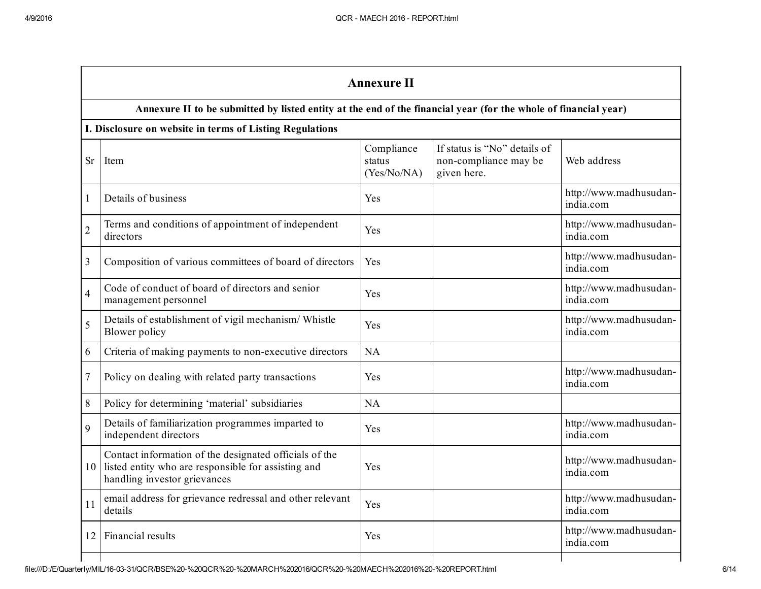|                | <b>Annexure II</b>                                                                                                                            |                                     |                                                                      |                                     |
|----------------|-----------------------------------------------------------------------------------------------------------------------------------------------|-------------------------------------|----------------------------------------------------------------------|-------------------------------------|
|                | Annexure II to be submitted by listed entity at the end of the financial year (for the whole of financial year)                               |                                     |                                                                      |                                     |
|                | I. Disclosure on website in terms of Listing Regulations                                                                                      |                                     |                                                                      |                                     |
| <b>Sr</b>      | Item                                                                                                                                          | Compliance<br>status<br>(Yes/No/NA) | If status is "No" details of<br>non-compliance may be<br>given here. | Web address                         |
| $\mathbf{1}$   | Details of business                                                                                                                           | Yes                                 |                                                                      | http://www.madhusudan-<br>india.com |
| $\overline{2}$ | Terms and conditions of appointment of independent<br>directors                                                                               | Yes                                 |                                                                      | http://www.madhusudan-<br>india.com |
| 3              | Composition of various committees of board of directors                                                                                       | Yes                                 |                                                                      | http://www.madhusudan-<br>india.com |
| $\overline{4}$ | Code of conduct of board of directors and senior<br>management personnel                                                                      | Yes                                 |                                                                      | http://www.madhusudan-<br>india.com |
| 5              | Details of establishment of vigil mechanism/ Whistle<br>Blower policy                                                                         | Yes                                 |                                                                      | http://www.madhusudan-<br>india.com |
| 6              | Criteria of making payments to non-executive directors                                                                                        | NA                                  |                                                                      |                                     |
| 7              | Policy on dealing with related party transactions                                                                                             | Yes                                 |                                                                      | http://www.madhusudan-<br>india.com |
| 8              | Policy for determining 'material' subsidiaries                                                                                                | NA                                  |                                                                      |                                     |
| 9              | Details of familiarization programmes imparted to<br>independent directors                                                                    | Yes                                 |                                                                      | http://www.madhusudan-<br>india.com |
| 10             | Contact information of the designated officials of the<br>listed entity who are responsible for assisting and<br>handling investor grievances | Yes                                 |                                                                      | http://www.madhusudan-<br>india.com |
| 11             | email address for grievance redressal and other relevant<br>details                                                                           | Yes                                 |                                                                      | http://www.madhusudan-<br>india.com |
| 12             | Financial results                                                                                                                             | Yes                                 |                                                                      | http://www.madhusudan-<br>india.com |
|                |                                                                                                                                               |                                     |                                                                      |                                     |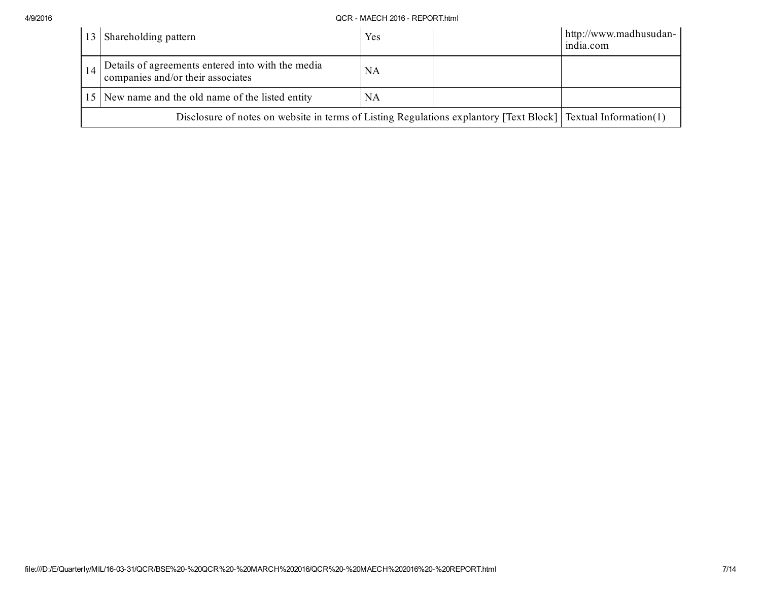## 4/9/2016 QCR MAECH 2016 REPORT.html

| Shareholding pattern                                                                                           | Yes | http://www.madhusudan-<br>india.com |
|----------------------------------------------------------------------------------------------------------------|-----|-------------------------------------|
| Details of agreements entered into with the media<br>companies and/or their associates                         | NΑ  |                                     |
| 15 New name and the old name of the listed entity                                                              | NA  |                                     |
| Disclosure of notes on website in terms of Listing Regulations explantory [Text Block] [Textual Information(1) |     |                                     |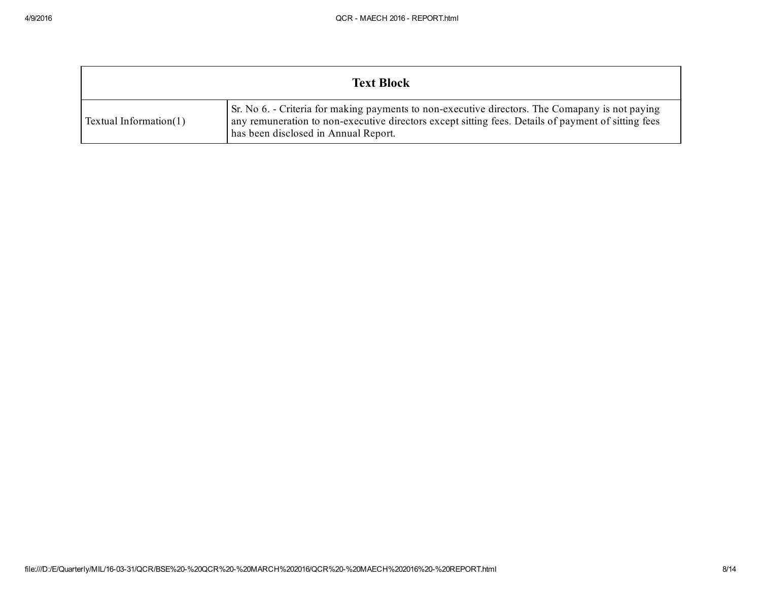| <b>Text Block</b>         |                                                                                                                                                                                                                                                |  |
|---------------------------|------------------------------------------------------------------------------------------------------------------------------------------------------------------------------------------------------------------------------------------------|--|
| Textual Information $(1)$ | Sr. No 6. - Criteria for making payments to non-executive directors. The Comapany is not paying<br>any remuneration to non-executive directors except sitting fees. Details of payment of sitting fees<br>has been disclosed in Annual Report. |  |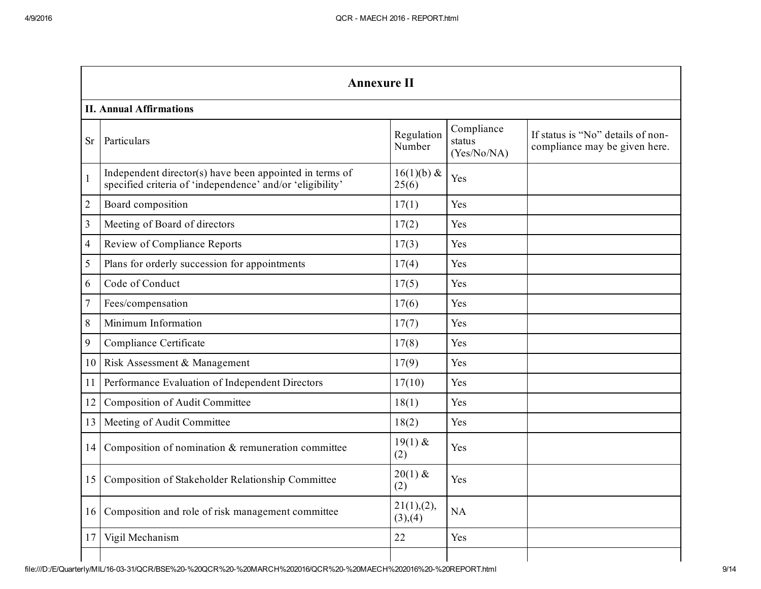|                | <b>Annexure II</b>                                                                                                   |                         |                                     |                                                                    |  |
|----------------|----------------------------------------------------------------------------------------------------------------------|-------------------------|-------------------------------------|--------------------------------------------------------------------|--|
|                | <b>II. Annual Affirmations</b>                                                                                       |                         |                                     |                                                                    |  |
| <b>Sr</b>      | Particulars                                                                                                          | Regulation<br>Number    | Compliance<br>status<br>(Yes/No/NA) | If status is "No" details of non-<br>compliance may be given here. |  |
| 1              | Independent director(s) have been appointed in terms of<br>specified criteria of 'independence' and/or 'eligibility' | $16(1)(b)$ &<br>25(6)   | Yes                                 |                                                                    |  |
| $\overline{2}$ | Board composition                                                                                                    | 17(1)                   | Yes                                 |                                                                    |  |
| 3              | Meeting of Board of directors                                                                                        | 17(2)                   | Yes                                 |                                                                    |  |
| $\overline{4}$ | <b>Review of Compliance Reports</b>                                                                                  | 17(3)                   | Yes                                 |                                                                    |  |
| 5              | Plans for orderly succession for appointments                                                                        | 17(4)                   | Yes                                 |                                                                    |  |
| 6              | Code of Conduct                                                                                                      | 17(5)                   | Yes                                 |                                                                    |  |
| $\overline{7}$ | Fees/compensation                                                                                                    | 17(6)                   | Yes                                 |                                                                    |  |
| 8              | Minimum Information                                                                                                  | 17(7)                   | Yes                                 |                                                                    |  |
| 9              | Compliance Certificate                                                                                               | 17(8)                   | Yes                                 |                                                                    |  |
| 10             | Risk Assessment & Management                                                                                         | 17(9)                   | Yes                                 |                                                                    |  |
| 11             | Performance Evaluation of Independent Directors                                                                      | 17(10)                  | Yes                                 |                                                                    |  |
| 12             | Composition of Audit Committee                                                                                       | 18(1)                   | Yes                                 |                                                                    |  |
| 13             | Meeting of Audit Committee                                                                                           | 18(2)                   | Yes                                 |                                                                    |  |
| 14             | Composition of nomination $&$ remuneration committee                                                                 | $19(1)$ &<br>(2)        | Yes                                 |                                                                    |  |
| 15             | Composition of Stakeholder Relationship Committee                                                                    | $20(1)$ &<br>(2)        | Yes                                 |                                                                    |  |
| 16             | Composition and role of risk management committee                                                                    | 21(1), (2),<br>(3), (4) | <b>NA</b>                           |                                                                    |  |
| 17             | Vigil Mechanism                                                                                                      | 22                      | Yes                                 |                                                                    |  |
|                |                                                                                                                      |                         |                                     |                                                                    |  |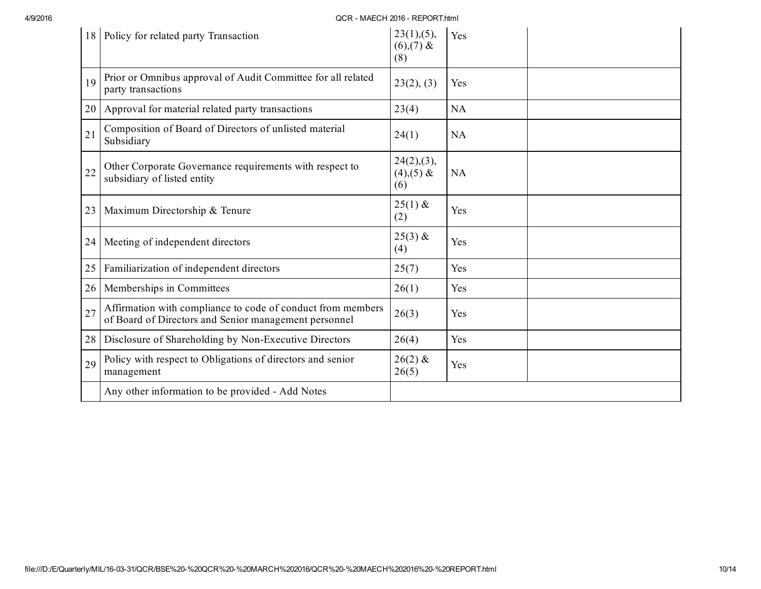4/9/2016 QCR MAECH 2016 REPORT.html

|    | 18   Policy for related party Transaction                                                                            | 23(1), (5),<br>$(6),(7)$ &<br>(8) | Yes       |  |
|----|----------------------------------------------------------------------------------------------------------------------|-----------------------------------|-----------|--|
| 19 | Prior or Omnibus approval of Audit Committee for all related<br>party transactions                                   | 23(2), (3)                        | Yes       |  |
|    | 20   Approval for material related party transactions                                                                | 23(4)                             | NA        |  |
| 21 | Composition of Board of Directors of unlisted material<br>Subsidiary                                                 | 24(1)                             | <b>NA</b> |  |
| 22 | Other Corporate Governance requirements with respect to<br>subsidiary of listed entity                               | 24(2),(3),<br>$(4),(5)$ &<br>(6)  | <b>NA</b> |  |
| 23 | Maximum Directorship & Tenure                                                                                        | $25(1)$ &<br>(2)                  | Yes       |  |
| 24 | Meeting of independent directors                                                                                     | $25(3)$ &<br>(4)                  | Yes       |  |
| 25 | Familiarization of independent directors                                                                             | 25(7)                             | Yes       |  |
| 26 | Memberships in Committees                                                                                            | 26(1)                             | Yes       |  |
| 27 | Affirmation with compliance to code of conduct from members<br>of Board of Directors and Senior management personnel | 26(3)                             | Yes       |  |
| 28 | Disclosure of Shareholding by Non-Executive Directors                                                                | 26(4)                             | Yes       |  |
| 29 | Policy with respect to Obligations of directors and senior<br>management                                             | $26(2)$ &<br>26(5)                | Yes       |  |
|    | Any other information to be provided - Add Notes                                                                     |                                   |           |  |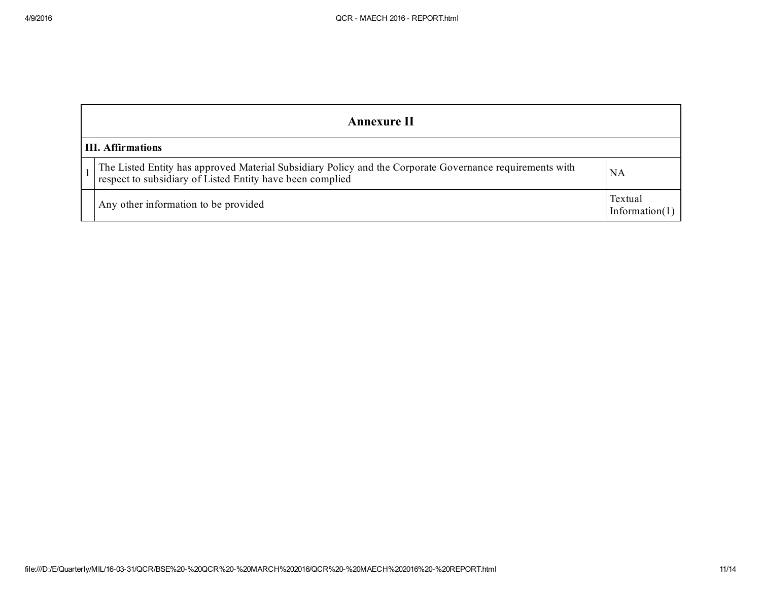| <b>Annexure II</b>                                                                                                                                                 |                              |
|--------------------------------------------------------------------------------------------------------------------------------------------------------------------|------------------------------|
| <b>III.</b> Affirmations                                                                                                                                           |                              |
| The Listed Entity has approved Material Subsidiary Policy and the Corporate Governance requirements with respect to subsidiary of Listed Entity have been complied | NA                           |
| Any other information to be provided                                                                                                                               | Textual<br>Information $(1)$ |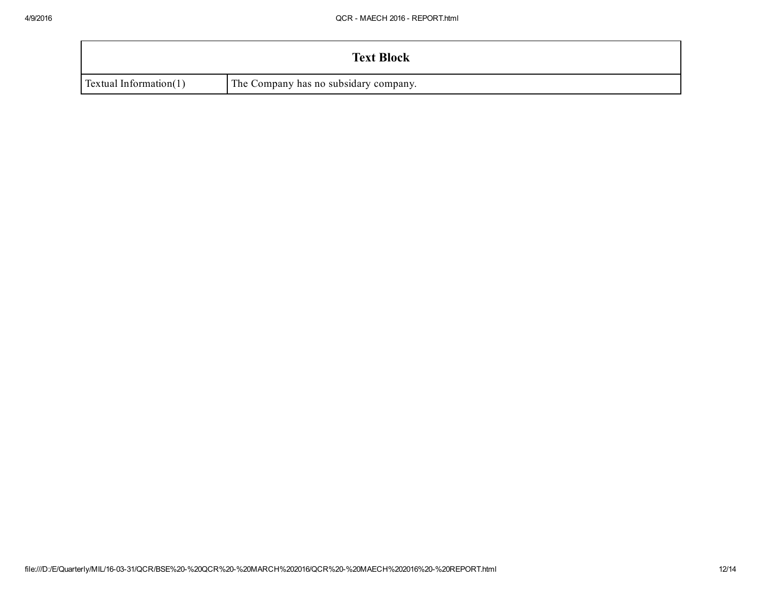|                               | <b>Text Block</b>                     |
|-------------------------------|---------------------------------------|
| <b>Textual Information(1)</b> | The Company has no subsidary company. |